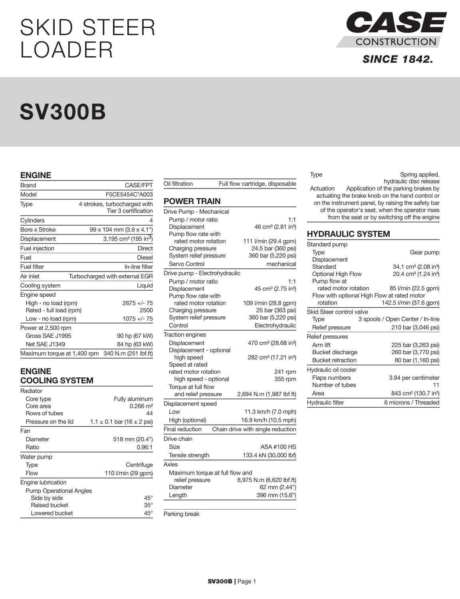# SKID STEER LOADER

# SV300B

### ENGINE

| <b>Brand</b>                                    | <b>CASE/FPT</b>                                      |
|-------------------------------------------------|------------------------------------------------------|
| Model                                           | F5CE5454C*A003                                       |
| Type                                            | 4 strokes, turbocharged with<br>Tier 3 certification |
| Cylinders                                       | 4                                                    |
| <b>Bore x Stroke</b>                            | 99 x 104 mm (3.9 x 4.1")                             |
| Displacement                                    | 3,195 cm <sup>3</sup> (195 in <sup>3</sup> )         |
| Fuel injection                                  | Direct                                               |
| Fuel                                            | Diesel                                               |
| Fuel filter                                     | In-line filter                                       |
| Air inlet                                       | Turbocharged with external EGR                       |
| Cooling system                                  | Liquid                                               |
| Engine speed                                    |                                                      |
| High - no load (rpm)<br>Rated - full load (rpm) | $2675 +/- 75$<br>2500                                |
| Low - no load (rpm)                             | $1075 +/- 75$                                        |
| Power at 2,500 rpm                              |                                                      |
| Gross SAE J1995                                 | 90 hp (67 kW)                                        |
| Net SAE J1349                                   | 84 hp (63 kW)                                        |
| Maximum torque at 1,400 rpm                     | 340 N.m (251 lbf.ft)                                 |

## ENGINE COOLING SYSTEM

| Radiator                       |                                    |
|--------------------------------|------------------------------------|
| Core type                      | Fully aluminum                     |
| Core area                      | 0.266 m <sup>2</sup>               |
| Rows of tubes                  | 44                                 |
| Pressure on the lid            | $1.1 \pm 0.1$ bar (16 $\pm$ 2 psi) |
| Fan                            |                                    |
| Diameter                       | $518$ mm (20.4")                   |
| Ratio                          | 0.96:1                             |
| Water pump                     |                                    |
| Type                           | Centrifuge                         |
| Flow                           | 110 l/min (29 gpm)                 |
| Engine lubrication             |                                    |
| <b>Pump Operational Angles</b> |                                    |
| Side by side                   | $45^{\circ}$                       |
| Raised bucket                  | $35^{\circ}$                       |
| Lowered bucket                 | $45^{\circ}$                       |

| Oil filtration                                                                       | Full flow cartridge, disposable                                                     |  |  |
|--------------------------------------------------------------------------------------|-------------------------------------------------------------------------------------|--|--|
| <b>POWER TRAIN</b>                                                                   |                                                                                     |  |  |
| Drive Pump - Mechanical                                                              |                                                                                     |  |  |
| Pump / motor ratio<br>Displacement<br>Pump flow rate with                            | 1:1<br>46 cm <sup>3</sup> (2.81 in <sup>3</sup> )                                   |  |  |
| rated motor rotation<br>Charging pressure<br>System relief pressure<br>Servo Control | 111 I/min (29.4 gpm)<br>24.5 bar (360 psi)<br>360 bar (5,220 psi)<br>mechanical     |  |  |
| Drive pump - Electrohydraulic                                                        |                                                                                     |  |  |
| Pump / motor ratio<br>Displacement<br>Pump flow rate with                            | 1:1<br>45 cm <sup>3</sup> (2.75 in <sup>3</sup> )                                   |  |  |
| rated motor rotation<br>Charging pressure<br>System relief pressure<br>Control       | 109 I/min (28.8 gpm)<br>25 bar (363 psi)<br>360 bar (5,220 psi)<br>Electrohydraulic |  |  |
| <b>Traction engines</b>                                                              |                                                                                     |  |  |
| Displacement                                                                         | 470 cm <sup>3</sup> (28.68 in <sup>3</sup> )                                        |  |  |
| Displacement - optional<br>high speed<br>Speed at rated                              | 282 cm <sup>3</sup> (17.21 in <sup>3</sup> )                                        |  |  |
| rated motor rotation                                                                 | 241 rpm                                                                             |  |  |
| high speed - optional                                                                | 355 rpm                                                                             |  |  |
| Torque at full flow<br>and relief pressure                                           | 2,694 N.m (1,987 lbf.ft)                                                            |  |  |
| Displacement speed                                                                   |                                                                                     |  |  |
| Low                                                                                  | 11.3 km/h (7.0 mph)                                                                 |  |  |
| High (optional)                                                                      | 16.9 km/h (10.5 mph)                                                                |  |  |
| <b>Final reduction</b>                                                               | Chain drive with single reduction                                                   |  |  |
| Drive chain                                                                          |                                                                                     |  |  |
| Size                                                                                 | <b>ASA #100 HS</b>                                                                  |  |  |
| Tensile strength                                                                     | 133.4 kN (30,000 lbf)                                                               |  |  |
| Axles                                                                                |                                                                                     |  |  |
| Maximum torque at full flow and<br>relief pressure                                   | 8,975 N.m (6,620 lbf.ft)                                                            |  |  |
| Diameter                                                                             | 62 mm (2.44")                                                                       |  |  |
| Length                                                                               | 396 mm (15.6")                                                                      |  |  |
|                                                                                      |                                                                                     |  |  |

Parking break



# **SINCE 1842.**

| Type                                               | Spring applied,                              |  |
|----------------------------------------------------|----------------------------------------------|--|
|                                                    | hydraulic disc release                       |  |
| Actuation                                          | Application of the parking brakes by         |  |
| actuating the brake knob on the hand control or    |                                              |  |
| on the instrument panel, by raising the safety bar |                                              |  |
| of the operator's seat, when the operator rises    |                                              |  |
|                                                    | from the seat or by switching off the engine |  |

## HYDRAULIC SYSTEM

| Standard pump                               |                                              |
|---------------------------------------------|----------------------------------------------|
| Type                                        | Gear pump                                    |
| Displacement                                |                                              |
| Standard                                    | 34.1 cm <sup>3</sup> (2.08 in <sup>3</sup> ) |
| Optional High Flow                          | 20.4 cm <sup>3</sup> (1.24 in <sup>3</sup> ) |
| Pump flow at                                |                                              |
| rated motor rotation                        | 85 I/min (22.5 gpm)                          |
| Flow with optional High Flow at rated motor |                                              |
| rotation                                    | 142.5 l/min (37.6 gpm)                       |
| Skid Steer control valve                    |                                              |
| Type                                        | 3 spools / Open Center / In-line             |
| Relief pressure                             | 210 bar (3,046 psi)                          |
| Relief pressures                            |                                              |
| Arm lift                                    | 225 bar (3,263 psi)                          |
| Bucket discharge                            | 260 bar (3,770 psi)                          |
| <b>Bucket retraction</b>                    | 80 bar (1,160 psi)                           |
| Hydraulic oil cooler                        |                                              |
| Flaps numbers                               | 3.94 per centimeter                          |
| Number of tubes                             | 11                                           |
| Area                                        | 843 cm <sup>2</sup> (130.7 in <sup>2</sup> ) |
| <b>Hydraulic filter</b>                     | 6 microns / Threaded                         |
|                                             |                                              |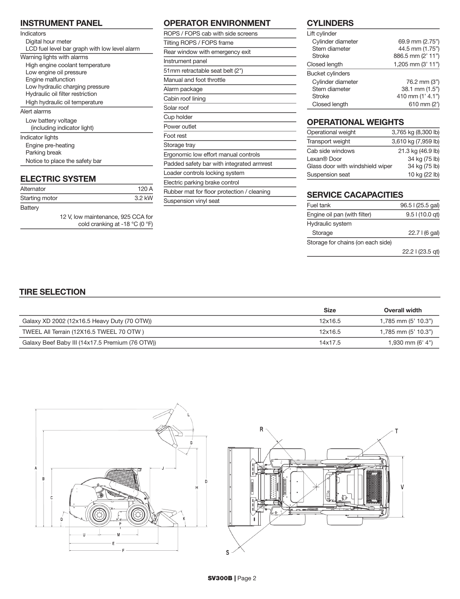## INSTRUMENT PANEL

| Indicators                                    |
|-----------------------------------------------|
| Digital hour meter                            |
| LCD fuel level bar graph with low level alarm |
| Warning lights with alarms                    |
| High engine coolant temperature               |
| Low engine oil pressure                       |
| Engine malfunction                            |
| Low hydraulic charging pressure               |
| Hydraulic oil filter restriction              |
| High hydraulic oil temperature                |
| Alert alarms                                  |
| Low battery voltage                           |
| (including indicator light)                   |
| Indicator lights                              |
| Engine pre-heating                            |
| Parking break                                 |
| Notice to place the safety bar                |
|                                               |

# ELECTRIC SYSTEM

| Alternator                                                                               | 120A   |
|------------------------------------------------------------------------------------------|--------|
| Starting motor                                                                           | 3.2 kW |
| Battery                                                                                  |        |
| 12 V. low maintenance, 925 CCA for<br>cold cranking at -18 $^{\circ}$ C (0 $^{\circ}$ F) |        |

## OPERATOR ENVIRONMENT

| ROPS / FOPS cab with side screens          |
|--------------------------------------------|
| Tilting ROPS / FOPS frame                  |
| Rear window with emergency exit            |
| Instrument panel                           |
| 51mm retractable seat belt (2")            |
| Manual and foot throttle                   |
| Alarm package                              |
| Cabin roof lining                          |
| Solar roof                                 |
| Cup holder                                 |
| Power outlet                               |
| Foot rest                                  |
| Storage tray                               |
| Ergonomic low effort manual controls       |
| Padded safety bar with integrated armrest  |
| Loader controls locking system             |
| Electric parking brake control             |
| Rubber mat for floor protection / cleaning |
| Suspension vinyl seat                      |

## **CYLINDERS**

| Lift cylinder           |                   |
|-------------------------|-------------------|
| Cylinder diameter       | 69.9 mm (2.75")   |
| Stem diameter           | 44.5 mm (1.75")   |
| <b>Stroke</b>           | 886.5 mm (2' 11") |
| Closed length           | 1,205 mm (3' 11") |
| <b>Bucket cylinders</b> |                   |
| Cylinder diameter       | 76.2 mm (3")      |
| Stem diameter           | 38.1 mm (1.5")    |
| <b>Stroke</b>           | 410 mm (1' 4.1")  |
| Closed length           | 610 mm $(2')$     |

# OPERATIONAL WEIGHTS

| Operational weight               | 3,765 kg (8,300 lb) |
|----------------------------------|---------------------|
| Transport weight                 | 3,610 kg (7,959 lb) |
| Cab side windows                 | 21.3 kg (46.9 lb)   |
| Lexan® Door                      | 34 kg (75 lb)       |
| Glass door with windshield wiper | 34 kg (75 lb)       |
| Suspension seat                  | 10 kg (22 lb)       |

# SERVICE CACAPACITIES

| Fuel tank                         | 96.5   (25.5 gal) |  |
|-----------------------------------|-------------------|--|
| Engine oil pan (with filter)      | $9.5$   (10.0 gt) |  |
| Hydraulic system                  |                   |  |
| Storage                           | $22.7$   (6 gal)  |  |
| Storage for chains (on each side) |                   |  |
|                                   | 22.2 l (23.5 gt)  |  |

T

## TIRE SELECTION

|                                                 | Size    | <b>Overall width</b>    |
|-------------------------------------------------|---------|-------------------------|
| Galaxy XD 2002 (12x16.5 Heavy Duty (70 OTW))    | 12x16.5 | $1,785$ mm $(5' 10.3")$ |
| TWEEL All Terrain (12X16.5 TWEEL 70 OTW)        | 12x16.5 | $1,785$ mm $(5' 10.3")$ |
| Galaxy Beef Baby III (14x17.5 Premium (76 OTW)) | 14x17.5 | 1,930 mm (6' 4")        |

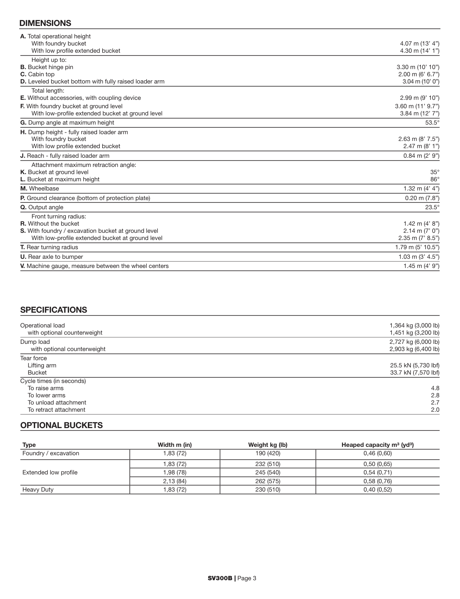## DIMENSIONS

| A. Total operational height                                  |                          |
|--------------------------------------------------------------|--------------------------|
| With foundry bucket                                          | 4.07 m $(13' 4")$        |
| With low profile extended bucket                             | 4.30 m $(14' 1")$        |
| Height up to:                                                |                          |
| <b>B.</b> Bucket hinge pin                                   | 3.30 m (10' 10")         |
| <b>C.</b> Cabin top                                          | $2.00$ m (6' 6.7")       |
| <b>D.</b> Leveled bucket bottom with fully raised loader arm | $3.04$ m (10' 0")        |
| Total length:                                                |                          |
| <b>E.</b> Without accessories, with coupling device          | 2.99 m (9' 10")          |
| F. With foundry bucket at ground level                       | $3.60$ m $(11'$ $9.7'')$ |
| With low-profile extended bucket at ground level             | 3.84 m $(12' 7")$        |
| G. Dump angle at maximum height                              | $53.5^\circ$             |
| H. Dump height - fully raised loader arm                     |                          |
| With foundry bucket                                          | 2.63 m $(8' 7.5'')$      |
| With low profile extended bucket                             | $2.47$ m $(8' 1")$       |
| J. Reach - fully raised loader arm                           | $0.84$ m $(2' 9'')$      |
| Attachment maximum retraction angle:                         |                          |
| K. Bucket at ground level                                    | $35^\circ$               |
| L. Bucket at maximum height                                  | $86^{\circ}$             |
| M. Wheelbase                                                 | 1.32 m $(4' 4'')$        |
| <b>P.</b> Ground clearance (bottom of protection plate)      | $0.20$ m $(7.8")$        |
| Q. Output angle                                              | $23.5^\circ$             |
| Front turning radius:                                        |                          |
| <b>R.</b> Without the bucket                                 | 1.42 m $(4' 8")$         |
| S. With foundry / excavation bucket at ground level          | $2.14$ m $(7' 0")$       |
| With low-profile extended bucket at ground level             | $2.35$ m (7' 8.5")       |
| <b>T.</b> Rear turning radius                                | 1.79 m (5' 10.5")        |
| <b>U.</b> Rear axle to bumper                                | 1.03 m $(3' 4.5'')$      |
| V. Machine gauge, measure between the wheel centers          | 1.45 m $(4' 9'')$        |
|                                                              |                          |

## **SPECIFICATIONS**

| Operational load<br>with optional counterweight | 1,364 kg (3,000 lb)<br>1,451 kg (3,200 lb) |
|-------------------------------------------------|--------------------------------------------|
| Dump load                                       | 2,727 kg (6,000 lb)                        |
| with optional counterweight                     | 2,903 kg (6,400 lb)                        |
| Tear force                                      |                                            |
| Lifting arm                                     | 25.5 kN (5,730 lbf)                        |
| <b>Bucket</b>                                   | 33.7 kN (7,570 lbf)                        |
| Cycle times (in seconds)                        |                                            |
| To raise arms                                   | 4.8                                        |
| To lower arms                                   | 2.8                                        |
| To unload attachment                            | 2.7                                        |
| To retract attachment                           | 2.0                                        |

## OPTIONAL BUCKETS

| Type                 | Width m (in) | Weight kg (lb) | Heaped capacity $m^3$ (yd <sup>3</sup> ) |
|----------------------|--------------|----------------|------------------------------------------|
| Foundry / excavation | 1,83(72)     | 190 (420)      | 0,46(0,60)                               |
| Extended low profile | 1,83 (72)    | 232 (510)      | 0,50(0,65)                               |
|                      | 1,98 (78)    | 245 (540)      | 0,54(0,71)                               |
|                      | 2,13(84)     | 262 (575)      | 0,58(0,76)                               |
| Heavy Duty           | 1,83 (72)    | 230 (510)      | 0,40(0,52)                               |